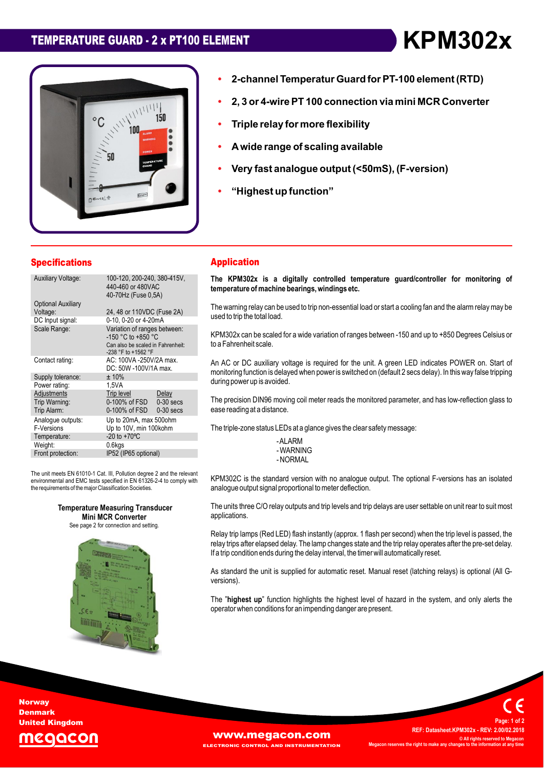# **TEMPERATURE GUARD - <sup>2</sup> <sup>x</sup> PT100 ELEMENT KPM302x**



# **Temperatur Guard forPT-100 element (RTD) 2, <sup>3</sup> or 4-wirePT <sup>100</sup> connection via mini MCR Converter ï**

- **Triple relay for more flexibility ï**
- **Triple ï**
- Triple relay for more flexibility<br>A wide range of scaling available **ï**
- A wide range of scaling available<br>Very fast analogue output (<50mS), (F-version) **ï**analogue output <mark>(<50</mark><br>up function" **analogue output (<50mS), F-version**
- "Highest up function"

| <b>Specifications</b>                       |                                                                                                                | <b>Application</b>                                                     |
|---------------------------------------------|----------------------------------------------------------------------------------------------------------------|------------------------------------------------------------------------|
| <b>Auxiliary Voltage:</b>                   | 100-120, 200-240, 380-415V,<br>440-460 or 480VAC<br>40-70Hz (Fuse 0.5A)                                        | The KPM302x is a digitally<br>temperature of machine bearing           |
| <b>Optional Auxiliary</b><br>Voltage:       | 24, 48 or 110VDC (Fuse 2A)                                                                                     | The warning relay can be used to t<br>used to trip the total load.     |
| DC Input signal:                            | 0-10, 0-20 or 4-20mA                                                                                           |                                                                        |
| Scale Range:                                | Variation of ranges between:<br>-150 °C to +850 °C<br>Can also be scaled in Fahrenheit:<br>-238 °F to +1562 °F | KPM302x can be scaled for a wide<br>to a Fahrenheit scale.             |
| Contact rating:                             | AC: 100VA -250V/2A max.<br>DC: 50W -100V/1A max.                                                               | An AC or DC auxiliary voltage is<br>monitoring function is delayed whe |
| Supply tolerance:                           | ±10%                                                                                                           |                                                                        |
| Power rating:                               | 1.5VA                                                                                                          | during power up is avoided.                                            |
| Adjustments<br>Trip Warning:<br>Trip Alarm: | Trip level<br>Delay<br>0-100% of FSD<br>$0-30$ secs<br>0-100% of FSD<br>$0-30$ secs                            | The precision DIN96 moving coil<br>ease reading at a distance.         |
| Analoque outputs:                           | Up to 20mA, max 500ohm                                                                                         |                                                                        |
| F-Versions                                  | Up to 10V, min 100kohm                                                                                         | The triple-zone status LEDs at a gl                                    |
| Temperature:                                | $-20$ to $+70^{\circ}$ C                                                                                       | -ALARM                                                                 |
| Weight:                                     | 0.6kgs                                                                                                         | -WARNING                                                               |
| Front protection:                           | IP52 (IP65 optional)                                                                                           | - NORMAL                                                               |
|                                             | The unit meets EN 61010-1 Cat. III, Pollution degree 2 and the relevant                                        | KPM302C is the standard versio                                         |
|                                             | environmental and EMC tests specified in EN 61326-2-4 to comply with                                           |                                                                        |

environmental and EMC tests specified in EN 61326-2-4 to comply with<br>the requirements of the major Classification Societies.

**Rature Measuring Transduce<br><b>Mini MCR Converter**<br>page 2 for connection and setting.

See

**Measuring Transducer Converter**

### **Application**

**ï**

**2-channel**

 **KPM302x is <sup>a</sup> digitally controlled temperature guard/controller for monitoring of temperature ofmachine bearings,windings etc.** temperature of machine bearings, windings etc.

temperature or macnine bearings, windings etc.<br>The warning relay can be used to trip non-essential load or start a cooling fan and the alarm relay may be<br>used to trip the total load.

used to trip trie total load.<br>KPM302x can be scaled for a wide variation of ranges between -150 and up to +850 Degrees Celsius or<br>to a Fahrenheit scale.

to a ramemmen scale.<br>An AC or DC auxiliary voltage is required for the unit. A green LED indicates POWER on. Start of<br>monitoring function is delaved when power is switched on (default 2 secs delay). In this way false tripp monitoring function is delayed when power is switched on (default 2 secs delay). In this way false tripping during power up is avoided.

during power up is avoided.<br>The precision DIN96 moving coil meter reads the monitored parameter, and has low-reflection glass to<br>ease reading at a distance. the state reading at a distance.<br>The triple-zone status LEDs at a glance gives the clear safety message:

-AI ARM - WARNING

is the standard version with no analogue output. The optional F-versions has an isolated analogue output signal proportional tometer deflection. The

analogue output signal proportional to meter deliection.<br>The units three C/O relav outputs and trip levels and trip delays are user settable on unit rear to suit most applications.

applications.<br>Relay trip lamps (Red LED) flash instantly (approx. 1 flash per second) when the trip level is passed, the<br>relay trips after elapsed delay. The lamp changes state and the trip relay operates after the pre-set relay trips after elapsed delay. The lamp changes state and the trip relay operates after the pre-set delay.<br>If a trip condition ends during the delay interval, the timer will automatically reset.

versions*)*. As standard the unit is supplied for automatic reset. Manual reset (latching relays) is optional (All G-

versions).<br>The "**highest up**" function highlights the highest level of hazard in the system, and only alerts the<br>operator when conditions for an impending danger are present.

**Norway Denmark** United Kingdom



 **Datasheet.KPM302x - REV: 2.00/02.2018 ©ALL BEEXIMELY IS A PREF: Datasheet.KPM302x - REV: 2.00/02.2018<br>© All rights reserved to Megacon C** All rights reserved to **M**<br>**right right right right <sup>1</sup> of <sup>2</sup>**

**Page:**

**REF:**

**WWW.Megacon.com AND INSTRUMENTATION**